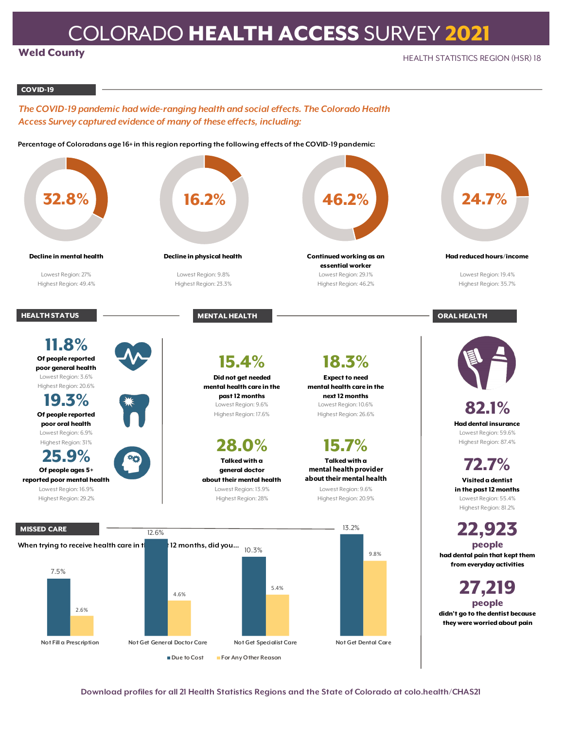## COLORADO HEALTH ACCESS SURVEY 2021

## Weld County

## COVID-19

*The COVID-19 pandemic had wide-ranging health and social effects. The Colorado Health Access Survey captured evidence of many of these effects, including:*

**Percentage of Coloradans age 16+ in this region reporting the following effects of the COVID-19 pandemic:**